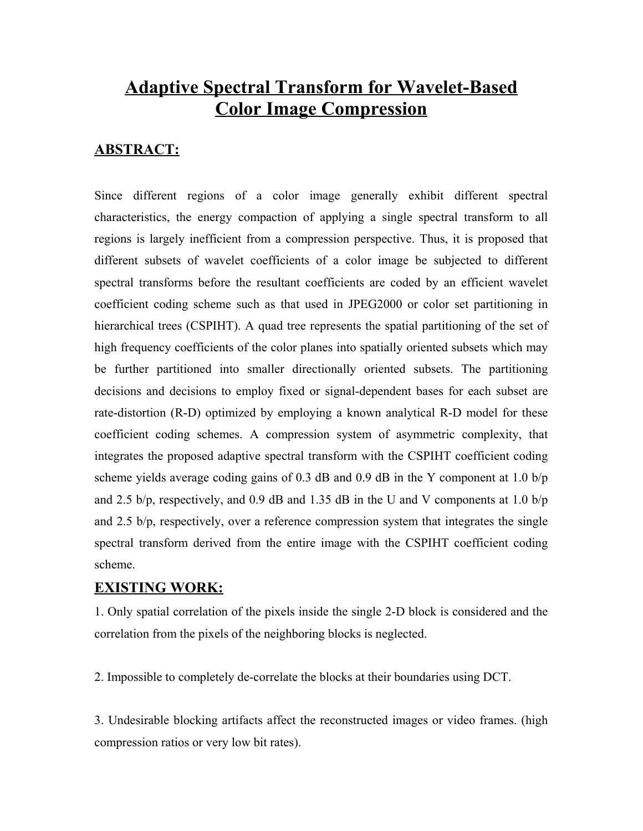# **Adaptive Spectral Transform for Wavelet-Based Color Image Compression**

### **ABSTRACT:**

Since different regions of a color image generally exhibit different spectral characteristics, the energy compaction of applying a single spectral transform to all regions is largely inefficient from a compression perspective. Thus, it is proposed that different subsets of wavelet coefficients of a color image be subjected to different spectral transforms before the resultant coefficients are coded by an efficient wavelet coefficient coding scheme such as that used in JPEG2000 or color set partitioning in hierarchical trees (CSPIHT). A quad tree represents the spatial partitioning of the set of high frequency coefficients of the color planes into spatially oriented subsets which may be further partitioned into smaller directionally oriented subsets. The partitioning decisions and decisions to employ fixed or signal-dependent bases for each subset are rate-distortion (R-D) optimized by employing a known analytical R-D model for these coefficient coding schemes. A compression system of asymmetric complexity, that integrates the proposed adaptive spectral transform with the CSPIHT coefficient coding scheme yields average coding gains of 0.3 dB and 0.9 dB in the Y component at 1.0  $b/p$ and 2.5 b/p, respectively, and 0.9 dB and 1.35 dB in the U and V components at 1.0 b/p and 2.5 b/p, respectively, over a reference compression system that integrates the single spectral transform derived from the entire image with the CSPIHT coefficient coding scheme.

### **EXISTING WORK:**

1. Only spatial correlation of the pixels inside the single 2-D block is considered and the correlation from the pixels of the neighboring blocks is neglected.

2. Impossible to completely de-correlate the blocks at their boundaries using DCT.

3. Undesirable blocking artifacts affect the reconstructed images or video frames. (high compression ratios or very low bit rates).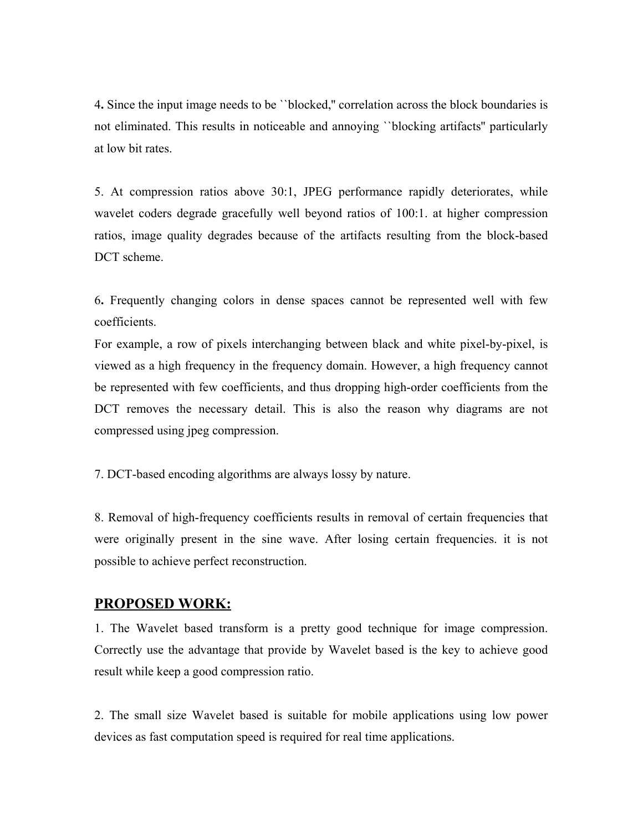4**.** Since the input image needs to be ``blocked,'' correlation across the block boundaries is not eliminated. This results in noticeable and annoying ``blocking artifacts'' particularly at low bit rates.

5. At compression ratios above 30:1, JPEG performance rapidly deteriorates, while wavelet coders degrade gracefully well beyond ratios of 100:1. at higher compression ratios, image quality degrades because of the artifacts resulting from the block-based DCT scheme.

6**.** Frequently changing colors in dense spaces cannot be represented well with few coefficients.

For example, a row of pixels interchanging between black and white pixel-by-pixel, is viewed as a high frequency in the frequency domain. However, a high frequency cannot be represented with few coefficients, and thus dropping high-order coefficients from the DCT removes the necessary detail. This is also the reason why diagrams are not compressed using jpeg compression.

7. DCT-based encoding algorithms are always lossy by nature.

8. Removal of high-frequency coefficients results in removal of certain frequencies that were originally present in the sine wave. After losing certain frequencies. it is not possible to achieve perfect reconstruction.

#### **PROPOSED WORK:**

1. The Wavelet based transform is a pretty good technique for image compression. Correctly use the advantage that provide by Wavelet based is the key to achieve good result while keep a good compression ratio.

2. The small size Wavelet based is suitable for mobile applications using low power devices as fast computation speed is required for real time applications.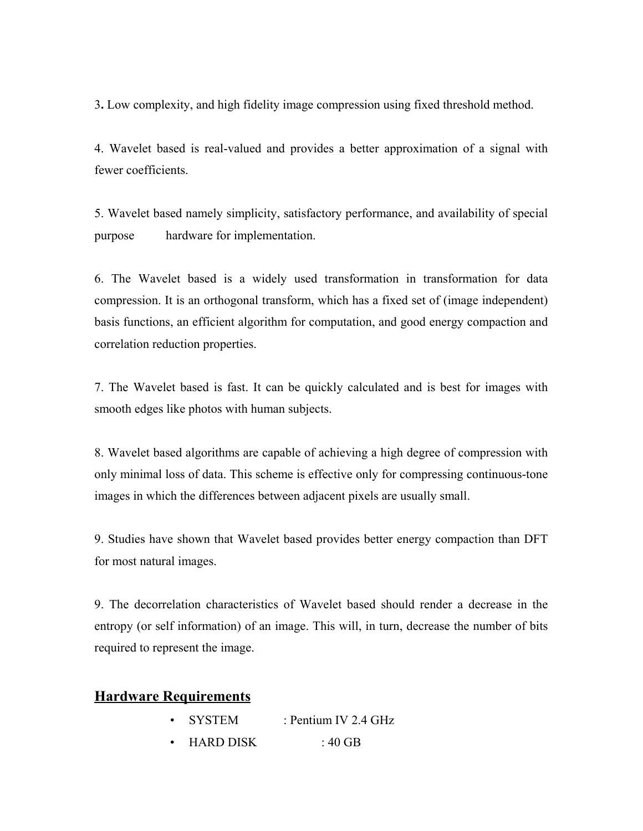3**.** Low complexity, and high fidelity image compression using fixed threshold method.

4. Wavelet based is real-valued and provides a better approximation of a signal with fewer coefficients.

5. Wavelet based namely simplicity, satisfactory performance, and availability of special purpose hardware for implementation.

6. The Wavelet based is a widely used transformation in transformation for data compression. It is an orthogonal transform, which has a fixed set of (image independent) basis functions, an efficient algorithm for computation, and good energy compaction and correlation reduction properties.

7. The Wavelet based is fast. It can be quickly calculated and is best for images with smooth edges like photos with human subjects.

8. Wavelet based algorithms are capable of achieving a high degree of compression with only minimal loss of data. This scheme is effective only for compressing continuous-tone images in which the differences between adjacent pixels are usually small.

9. Studies have shown that Wavelet based provides better energy compaction than DFT for most natural images.

9. The decorrelation characteristics of Wavelet based should render a decrease in the entropy (or self information) of an image. This will, in turn, decrease the number of bits required to represent the image.

### **Hardware Requirements**

| <b>SYSTEM</b>    | : Pentium IV 2.4 GHz |
|------------------|----------------------|
| <b>HARD DISK</b> | : 40 GB              |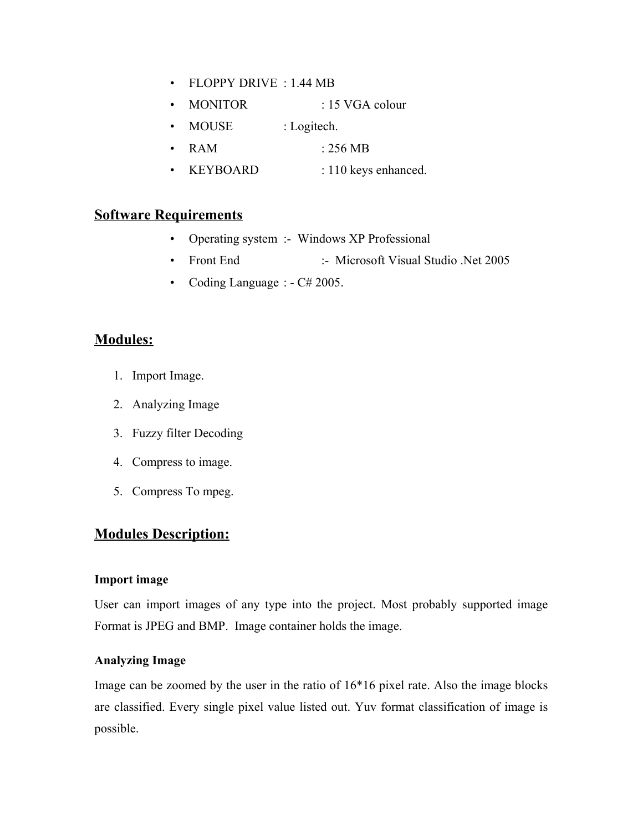- FLOPPY DRIVE : 1.44 MB
- MONITOR : 15 VGA colour
- MOUSE : Logitech.
- RAM : 256 MB
- KEYBOARD : 110 keys enhanced.

# **Software Requirements**

- Operating system :- Windows XP Professional
- Front End :- Microsoft Visual Studio .Net 2005
- Coding Language :  $-C# 2005$ .

# **Modules:**

- 1. Import Image.
- 2. Analyzing Image
- 3. Fuzzy filter Decoding
- 4. Compress to image.
- 5. Compress To mpeg.

# **Modules Description:**

#### **Import image**

User can import images of any type into the project. Most probably supported image Format is JPEG and BMP. Image container holds the image.

### **Analyzing Image**

Image can be zoomed by the user in the ratio of 16\*16 pixel rate. Also the image blocks are classified. Every single pixel value listed out. Yuv format classification of image is possible.